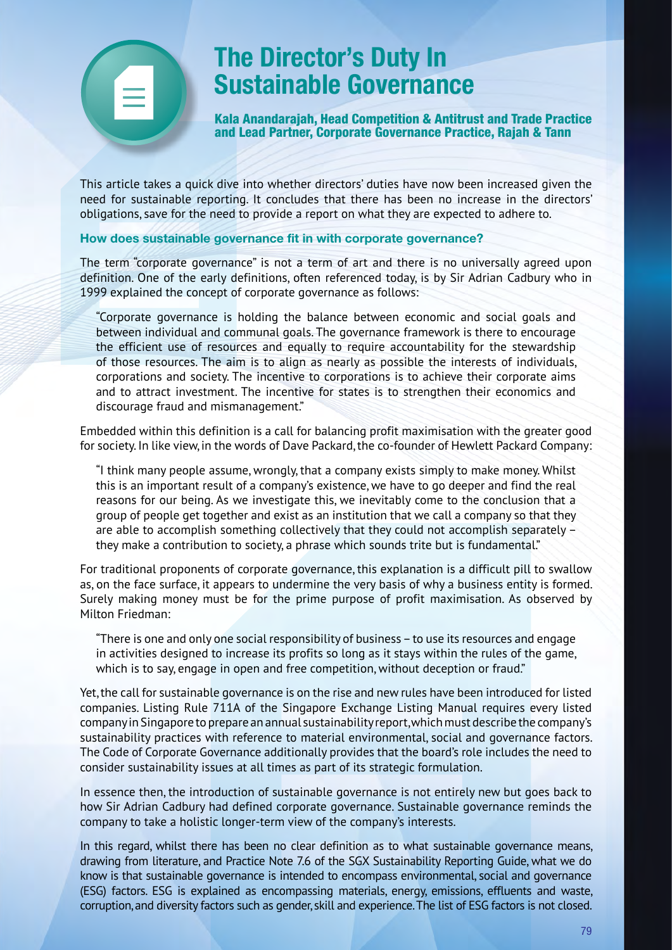## The Director's Duty In Sustainable Governance

Kala Anandarajah, Head Competition & Antitrust and Trade Practice and Lead Partner, Corporate Governance Practice, Rajah & Tann

This article takes a quick dive into whether directors' duties have now been increased given the need for sustainable reporting. It concludes that there has been no increase in the directors' obligations, save for the need to provide a report on what they are expected to adhere to.

## How does sustainable governance fit in with corporate governance?

The term "corporate governance" is not a term of art and there is no universally agreed upon definition. One of the early definitions, often referenced today, is by Sir Adrian Cadbury who in 1999 explained the concept of corporate governance as follows:

"Corporate governance is holding the balance between economic and social goals and between individual and communal goals. The governance framework is there to encourage the efficient use of resources and equally to require accountability for the stewardship of those resources. The aim is to align as nearly as possible the interests of individuals, corporations and society. The incentive to corporations is to achieve their corporate aims and to attract investment. The incentive for states is to strengthen their economics and discourage fraud and mismanagement."

Embedded within this definition is a call for balancing profit maximisation with the greater good for society. In like view, in the words of Dave Packard, the co-founder of Hewlett Packard Company:

"I think many people assume, wrongly, that a company exists simply to make money. Whilst this is an important result of a company's existence, we have to go deeper and find the real reasons for our being. As we investigate this, we inevitably come to the conclusion that a group of people get together and exist as an institution that we call a company so that they are able to accomplish something collectively that they could not accomplish separately – they make a contribution to society, a phrase which sounds trite but is fundamental."

For traditional proponents of corporate governance, this explanation is a difficult pill to swallow as, on the face surface, it appears to undermine the very basis of why a business entity is formed. Surely making money must be for the prime purpose of profit maximisation. As observed by Milton Friedman:

"There is one and only one social responsibility of business – to use its resources and engage in activities designed to increase its profits so long as it stays within the rules of the game, which is to say, engage in open and free competition, without deception or fraud."

Yet, the call for sustainable governance is on the rise and new rules have been introduced for listed companies. Listing Rule 711A of the Singapore Exchange Listing Manual requires every listed company in Singapore to prepare an annual sustainability report, which must describe the company's sustainability practices with reference to material environmental, social and governance factors. The Code of Corporate Governance additionally provides that the board's role includes the need to consider sustainability issues at all times as part of its strategic formulation.

In essence then, the introduction of sustainable governance is not entirely new but goes back to how Sir Adrian Cadbury had defined corporate governance. Sustainable governance reminds the company to take a holistic longer-term view of the company's interests.

In this regard, whilst there has been no clear definition as to what sustainable governance means, drawing from literature, and Practice Note 7.6 of the SGX Sustainability Reporting Guide, what we do know is that sustainable governance is intended to encompass environmental, social and governance (ESG) factors. ESG is explained as encompassing materials, energy, emissions, effluents and waste, corruption, and diversity factors such as gender, skill and experience. The list of ESG factors is not closed.